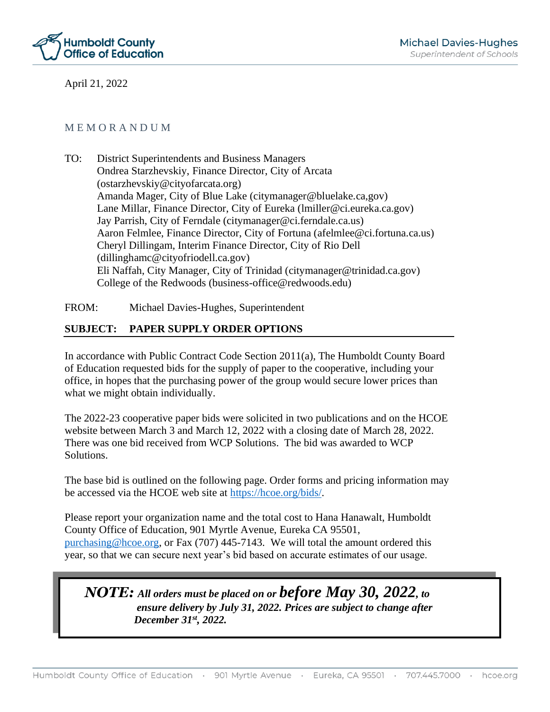

April 21, 2022

### M E M O R A N D U M

TO: District Superintendents and Business Managers Ondrea Starzhevskiy, Finance Director, City of Arcata (ostarzhevskiy@cityofarcata.org) Amanda Mager, City of Blue Lake (citymanager@bluelake.ca,gov) Lane Millar, Finance Director, City of Eureka (lmiller@ci.eureka.ca.gov) Jay Parrish, City of Ferndale (citymanager@ci.ferndale.ca.us) Aaron Felmlee, Finance Director, City of Fortuna (afelmlee@ci.fortuna.ca.us) Cheryl Dillingam, Interim Finance Director, City of Rio Dell (dillinghamc@cityofriodell.ca.gov) Eli Naffah, City Manager, City of Trinidad (citymanager@trinidad.ca.gov) College of the Redwoods (business-office@redwoods.edu)

FROM: Michael Davies-Hughes, Superintendent

# **SUBJECT: PAPER SUPPLY ORDER OPTIONS**

In accordance with Public Contract Code Section 2011(a), The Humboldt County Board of Education requested bids for the supply of paper to the cooperative, including your office, in hopes that the purchasing power of the group would secure lower prices than what we might obtain individually.

The 2022-23 cooperative paper bids were solicited in two publications and on the HCOE website between March 3 and March 12, 2022 with a closing date of March 28, 2022. There was one bid received from WCP Solutions. The bid was awarded to WCP Solutions.

The base bid is outlined on the following page. Order forms and pricing information may be accessed via the HCOE web site at [https://hcoe.org/bids/.](https://hcoe.org/bids/)

Please report your organization name and the total cost to Hana Hanawalt, Humboldt County Office of Education, 901 Myrtle Avenue, Eureka CA 95501, [purchasing@hcoe.org,](mailto:purchasing@hcoe.org) or Fax (707) 445-7143. We will total the amount ordered this year, so that we can secure next year's bid based on accurate estimates of our usage.

# *NOTE: All orders must be placed on or before May 30, 2022, to ensure delivery by July 31, 2022. Prices are subject to change after December 31st, 2022.*